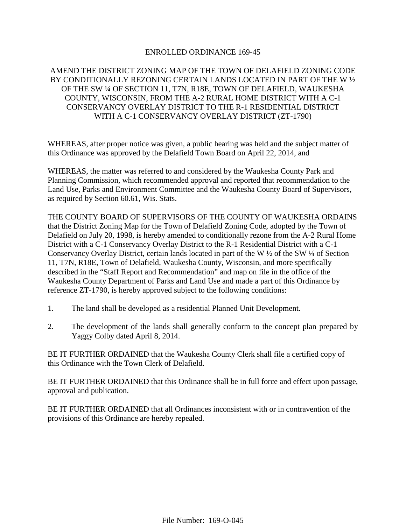#### ENROLLED ORDINANCE 169-45

## AMEND THE DISTRICT ZONING MAP OF THE TOWN OF DELAFIELD ZONING CODE BY CONDITIONALLY REZONING CERTAIN LANDS LOCATED IN PART OF THE W ½ OF THE SW ¼ OF SECTION 11, T7N, R18E, TOWN OF DELAFIELD, WAUKESHA COUNTY, WISCONSIN, FROM THE A-2 RURAL HOME DISTRICT WITH A C-1 CONSERVANCY OVERLAY DISTRICT TO THE R-1 RESIDENTIAL DISTRICT WITH A C-1 CONSERVANCY OVERLAY DISTRICT (ZT-1790)

WHEREAS, after proper notice was given, a public hearing was held and the subject matter of this Ordinance was approved by the Delafield Town Board on April 22, 2014, and

WHEREAS, the matter was referred to and considered by the Waukesha County Park and Planning Commission, which recommended approval and reported that recommendation to the Land Use, Parks and Environment Committee and the Waukesha County Board of Supervisors, as required by Section 60.61, Wis. Stats.

THE COUNTY BOARD OF SUPERVISORS OF THE COUNTY OF WAUKESHA ORDAINS that the District Zoning Map for the Town of Delafield Zoning Code, adopted by the Town of Delafield on July 20, 1998, is hereby amended to conditionally rezone from the A-2 Rural Home District with a C-1 Conservancy Overlay District to the R-1 Residential District with a C-1 Conservancy Overlay District, certain lands located in part of the W ½ of the SW ¼ of Section 11, T7N, R18E, Town of Delafield, Waukesha County, Wisconsin, and more specifically described in the "Staff Report and Recommendation" and map on file in the office of the Waukesha County Department of Parks and Land Use and made a part of this Ordinance by reference ZT-1790, is hereby approved subject to the following conditions:

- 1. The land shall be developed as a residential Planned Unit Development.
- 2. The development of the lands shall generally conform to the concept plan prepared by Yaggy Colby dated April 8, 2014.

BE IT FURTHER ORDAINED that the Waukesha County Clerk shall file a certified copy of this Ordinance with the Town Clerk of Delafield.

BE IT FURTHER ORDAINED that this Ordinance shall be in full force and effect upon passage, approval and publication.

BE IT FURTHER ORDAINED that all Ordinances inconsistent with or in contravention of the provisions of this Ordinance are hereby repealed.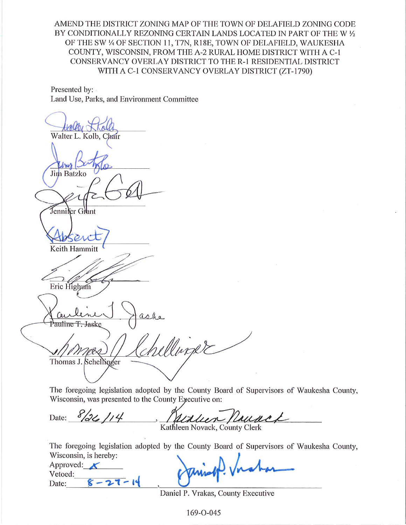AMEND THE DISTRICT ZONING MAP OF THE TOWN OF DELAFIELD ZONING CODE BY CONDITIONALLY REZONING CERTAIN LANDS LOCATED IN PART OF THE W 1/2 OF THE SW 1/4 OF SECTION 11, T7N, R18E, TOWN OF DELAFIELD, WAUKESHA COUNTY, WISCONSIN, FROM THE A-2 RURAL HOME DISTRICT WITH A C-1 CONSERVANCY OVERLAY DISTRICT TO THE R-1 RESIDENTIAL DISTRICT WITH A C-1 CONSERVANCY OVERLAY DISTRICT (ZT-1790)

Presented by: Land Use, Parks, and Environment Committee

Walter L. Kolb, Chair **Jim Batzko** Tennilèr Glant Keith Hammi Eric Highum Pauline T<del>. J</del>aske llinare Thomas J. Schellinger

The foregoing legislation adopted by the County Board of Supervisors of Waukesha County, Wisconsin, was presented to the County Executive on:

Date: 8/26/14 LAILNAL  $\overline{\prime}$ Kathleen Novack, County Clerk

The foregoing legislation adopted by the County Board of Supervisors of Waukesha County, Wisconsin, is hereby:

Approved:  $\bigtimes$ Vetoed:  $8 - 27 - 14$ Date:

Daniel P. Vrakas, County Executive

169-O-045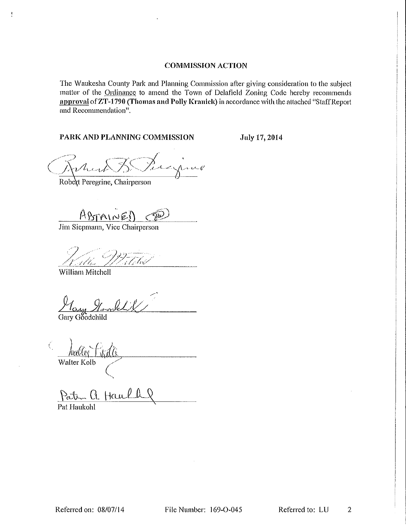#### **COMMISSION ACTION**

The Waukesha County Park and Planning Commission after giving consideration to the subject matter of the Ordinance to amend the Town of Delafield Zoning Code hereby recommends approval of ZT-1790 (Thomas and Polly Kranick) in accordance with the attached "Staff Report and Recommendation".

#### PARK AND PLANNING COMMISSION

July 17, 2014

Percyring

Robert Peregrine, Chairperson

ABTAINED

Jim Siepmann, Vice Chairperson

Callis-

William Mitchell

Ĥ.

lang Hoorles

Gary Goodchild

<u>| Jual Cer</u> Walter Kolb

Paten a Haull Pat Haukohl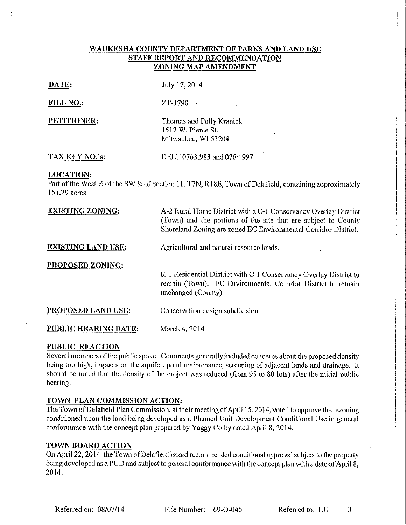### WAUKESHA COUNTY DEPARTMENT OF PARKS AND LAND USE STAFF REPORT AND RECOMMENDATION **ZONING MAP AMENDMENT**

#### DATE:

 $\frac{1}{2}$ 

July 17, 2014

**FILE NO.:** 

PETITIONER:

ZT-1790  $\mathbb{R}^2$ 

Thomas and Polly Kranick 1517 W. Pierce St. Milwaukee, WI 53204

TAX KEY NO.'s:

DELT 0763.983 and 0764.997

#### **LOCATION:**

Part of the West 1/2 of the SW 1/4 of Section 11, T7N, R18E, Town of Delafield, containing approximately 151.29 acres.

| <b>EXISTING ZONING:</b>   | A-2 Rural Home District with a C-1 Conservancy Overlay District<br>(Town) and the portions of the site that are subject to County<br>Shoreland Zoning are zoned EC Environmental Corridor District.<br>Agricultural and natural resource lands. |  |  |  |  |  |  |
|---------------------------|-------------------------------------------------------------------------------------------------------------------------------------------------------------------------------------------------------------------------------------------------|--|--|--|--|--|--|
| <b>EXISTING LAND USE:</b> |                                                                                                                                                                                                                                                 |  |  |  |  |  |  |
| <b>PROPOSED ZONING:</b>   | R-1 Residential District with C-1 Conservancy Overlay District to<br>remain (Town). EC Environmental Corridor District to remain<br>unchanged (County).                                                                                         |  |  |  |  |  |  |
| PROPOSED LAND USE:        | Conservation design subdivision.                                                                                                                                                                                                                |  |  |  |  |  |  |
| PUBLIC HEARING DATE:      | March 4, 2014,                                                                                                                                                                                                                                  |  |  |  |  |  |  |

### **PUBLIC REACTION:**

Several members of the public spoke. Comments generally included concerns about the proposed density being too high, impacts on the aquifer, pond maintenance, screening of adjacent lands and drainage. It should be noted that the density of the project was reduced (from 95 to 80 lots) after the initial public hearing.

### TOWN PLAN COMMISSION ACTION:

The Town of Delafield Plan Commission, at their meeting of April 15, 2014, voted to approve the rezoning conditioned upon the land being developed as a Planned Unit Development Conditional Use in general conformance with the concept plan prepared by Yaggy Colby dated April 8, 2014.

### **TOWN BOARD ACTION**

On April 22, 2014, the Town of Delafield Board recommended conditional approval subject to the property being developed as a PUD and subject to general conformance with the concept plan with a date of April 8. 2014.

File Number: 169-0-045

Referred to: LU

3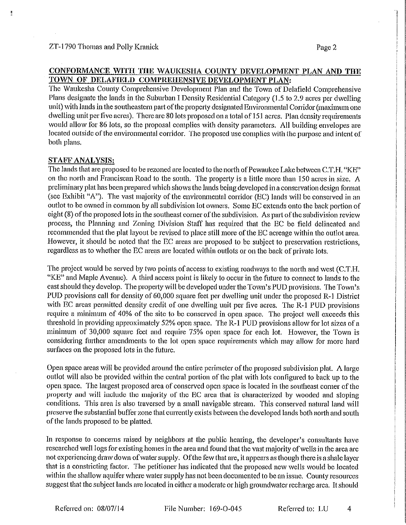ų

#### CONFORMANCE WITH THE WAUKESHA COUNTY DEVELOPMENT PLAN AND THE TOWN OF DELAFIELD COMPREHENSIVE DEVELOPMENT PLAN:

The Waukesha County Comprehensive Development Plan and the Town of Delafield Comprehensive Plans designate the lands in the Suburban I Density Residential Category (1.5 to 2.9 acres per dwelling unit) with lands in the southeastern part of the property designated Environmental Corridor (maximum one dwelling unit per five acres). There are 80 lots proposed on a total of 151 acres. Plan density requirements would allow for 86 lots, so the proposal complies with density parameters. All building envelopes are located outside of the environmental corridor. The proposed use complies with the purpose and intent of both plans.

#### **STAFF ANALYSIS:**

The lands that are proposed to be rezoned are located to the north of Pewaukee Lake between C.T.H. "KE" on the north and Franciscan Road to the south. The property is a little more than 150 acres in size. A preliminary plat has been prepared which shows the lands being developed in a conservation design format (see Exhibit "A"). The vast majority of the environmental corridor (EC) lands will be conserved in an outlot to be owned in common by all subdivision lot owners. Some EC extends onto the back portion of eight (8) of the proposed lots in the southeast corner of the subdivision. As part of the subdivision review process, the Planning and Zoning Division Staff has required that the EC be field delineated and recommended that the plat layout be revised to place still more of the EC acreage within the outlot area. However, it should be noted that the EC areas are proposed to be subject to preservation restrictions, regardless as to whether the EC areas are located within outlots or on the back of private lots.

The project would be served by two points of access to existing roadways to the north and west (C.T.H. "KE" and Maple Avenue). A third access point is likely to occur in the future to connect to lands to the east should they develop. The property will be developed under the Town's PUD provisions. The Town's PUD provisions call for density of 60,000 square feet per dwelling unit under the proposed R-1 District with EC areas permitted density credit of one dwelling unit per five acres. The R-1 PUD provisions require a minimum of 40% of the site to be conserved in open space. The project well exceeds this threshold in providing approximately 52% open space. The R-1 PUD provisions allow for lot sizes of a minimum of 30,000 square feet and require 75% open space for each lot. However, the Town is considering further amendments to the lot open space requirements which may allow for more hard surfaces on the proposed lots in the future.

Open space areas will be provided around the entire perimeter of the proposed subdivision plat. A large outlot will also be provided within the central portion of the plat with lots configured to back up to the open space. The largest proposed area of conserved open space is located in the southeast corner of the property and will include the majority of the EC area that is characterized by wooded and sloping conditions. This area is also traversed by a small navigable stream. This conserved natural land will preserve the substantial buffer zone that currently exists between the developed lands both north and south of the lands proposed to be platted.

In response to concerns raised by neighbors at the public hearing, the developer's consultants have researched well logs for existing homes in the area and found that the vast majority of wells in the area are not experiencing draw down of water supply. Of the few that are, it appears as though there is a shale layer that is a constricting factor. The petitioner has indicated that the proposed new wells would be located within the shallow aquifer where water supply has not been documented to be an issue. County resources suggest that the subject lands are located in either a moderate or high groundwater recharge area. It should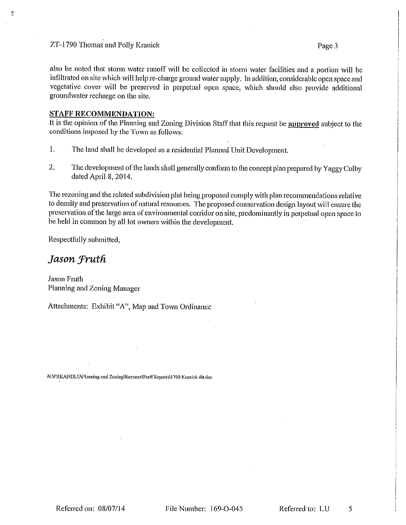#### ZT-1790 Thomas and Polly Kranick

also be noted that storm water runoff will be collected in storm water facilities and a portion will be infiltrated on site which will help re-charge ground water supply. In addition, considerable open space and vegetative cover will be preserved in perpetual open space, which should also provide additional groundwater recharge on the site.

#### **STAFF RECOMMENDATION:**

It is the opinion of the Planning and Zoning Division Staff that this request be approved subject to the conditions imposed by the Town as follows:

- $\mathbf{1}$ . The land shall be developed as a residential Planned Unit Development.
- $2.$ The development of the lands shall generally conform to the concept plan prepared by Yaggy Colby dated April 8, 2014.

The rezoning and the related subdivision plat being proposed comply with plan recommendations relative to density and preservation of natural resources. The proposed conservation design layout will ensure the preservation of the large area of environmental corridor on site, predominantly in perpetual open space to be held in common by all lot owners within the development.

Respectfully submitted.

# Jason Fruth

Jason Fruth Planning and Zoning Manager

Attachments: Exhibit "A", Map and Town Ordinance

N:\PRKANDLU\Planning and Zoning\Rezones\Staff Reports\1790 Kranick dIt.doc

File Number: 169-O-045

Referred to: LU 5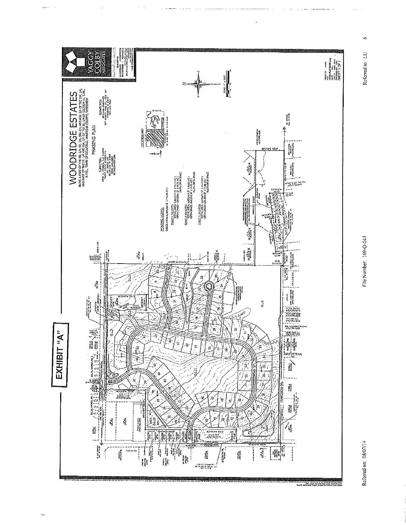

 $\mathbf{r}$ 

File Number: 169-O-045

Referred to: LU

 $\circ$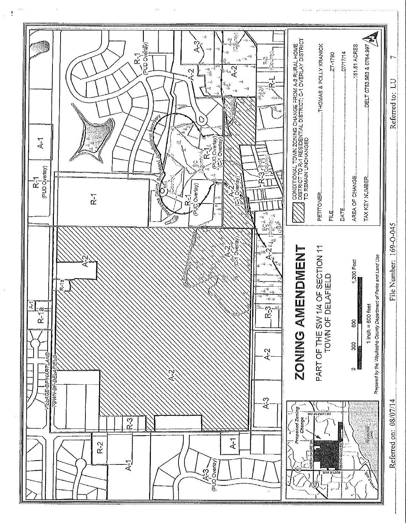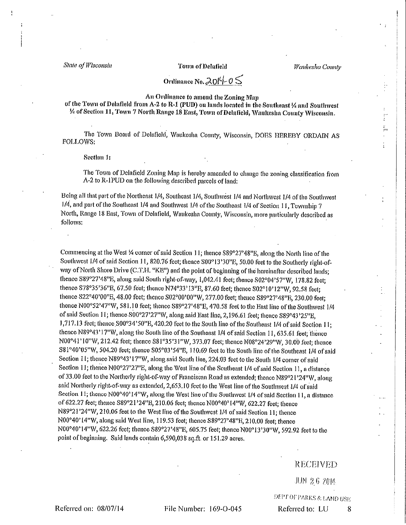State of Wisconsin

#### Town of Delafield

Waukesha County

# Ordinance No.  $2014 - 05$

#### An Ordinance to amend the Zoning Map

of the Town of Delafield from A-2 to R-1 (PUD) on lands located in the Southeast % and Southwest 1/4 of Section 11, Town 7 North Range 18 East, Town of Delafield, Waukesha County Wisconsin.

The Town Board of Delafield, Waukesha County, Wisconsin, DOES HEREBY ORDAIN AS FOLLOWS:

Section 1:

The Town of Delafield Zoning Map is hereby amended to change the zoning classification from A-2 to R-1PUD on the following described parcels of land;

Being all that part of the Northeast 1/4, Southeast 1/4, Southwest 1/4 and Northwest 1/4 of the Southwest 1/4, and part of the Southeast 1/4 and Southwest 1/4 of the Southeast 1/4 of Section 11, Township 7 North, Range 18 East, Town of Delafield, Waukesha County, Wisconsin, more particularly described as follows:

Commencing at the West 1⁄4 corner of said Section 11; thence S89°27'48" B, along the North line of the Southwest 1/4 of said Section 11, 820.76 feet; thence S00°13'30"E, 50.00 feet to the Southerly right-ofway of North Shore Drive (C.T.H. "KE") and the point of beginning of the hereinafter described lands: thence S89°27'48"E, along said South right-of-way, 1,042.41 feet; thence S02°04'57"W, 178.82 feet; thence S78°35'36"E, 67.50 feet; thence N74°33'13"E, 87.60 feet; thence S02°10'12"W, 92.58 feet: thence S22°40'00"E, 48.00 feet; thence S02°00'00"W, 277.00 feet; thence S89°27'48"E, 230.00 feet; thence N00°52'47"W, 581.10 feet; thence S89°27'48"E, 470.58 feet to the East line of the Southwest 1/4 of said Section 11; thence S00°27'27"W, along said East line, 2,196.61 feet; thence S89°43'25"E, 1,717.13 feet; thence S00°34'50"E, 420.20 feet to the South line of the Southeast 1/4 of said Section 11; thence N89°43'17"W, along the South line of the Southeast 1/4 of said Section 11, 635.61 feet; thence N00°41'10"W, 212.42 feet; thence S81°35'31"W, 373.07 feet; thence N08°24'29"W, 30.00 feet; thence S81°40'05"W, 504.20 feet; thence S05°03'54"E, 110.69 feet to the South line of the Southeast 1/4 of said Section 11; thence N89°43'17"W, along said South line, 224.03 feet to the South 1/4 corner of said Section 11; thence N00°27'27"E, along the West line of the Southeast 1/4 of said Section 11, a distance of 33.00 feet to the Northerly right-of-way of Franciscan Road as extended; thence N89°21'24"W, along said Northerly right-of-way as extended, 2,653.10 feet to the West line of the Southwest 1/4 of said Section 11; thence N00°40'14"W, along the West line of the Southwest 1/4 of said Section 11, a distance of 622.27 feet; thence S89°21'24"B, 210.06 feet; thence N00°40'14"W, 622.27 feet; thence N89°21'24"W, 210.06 feet to the West line of the Southwest 1/4 of said Section 11; thence N00°40'14"W, along said West line, 119.53 feet; thence S89°27'48"E, 210.00 feet; thence N00°40'14"W, 622.26 feet; thence S89°27'48"E, 605.75 feet; thence N00°13'30"W, 592.92 feet to the point of beginning. Said lands contain 6,590,038 sq.ft. or 151.29 acres.

#### **RECEIVED**

JUN 36 2014

DEPT OF PARKS & LAND USE

8

Referred to: LU

Referred on: 08/07/14

File Number: 169-0-045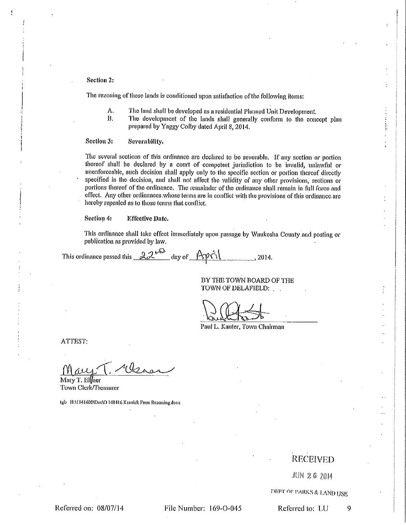Section 2:

The rezoning of these lands is conditioned upon satisfaction of the following items:

- А. The land shall be developed as a residential Planned Unit Development.
- $B.$ The development of the lands shall generally conform to the concept plan prepared by Yaggy Colby dated April 8, 2014.

#### Section 3: Severability.

The several sections of this ordinance are declared to be severable. If any section or portion thereof shall be declared by a court of competent jurisdiction to be invalid, unlawful or unenforceable, such decision shall apply only to the specific section or portion thereof directly specified in the decision, and shall not affect the validity of any other provisions, sections or portions thereof of the ordinance. The remainder of the ordinance shall remain in full force and effect. Any other ordinances whose terms are in conflict with the provisions of this ordinance are hereby repealed as to those terms that conflict.

#### Section 4: **Effective Date.**

This ordinance shall take effect immediately upon passage by Waukesha County and posting or publication as provided by law.

This ordinance passed this  $22^{k\omega}$  day of April 2014.

BY THE TOWN BOARD OF THE TOWN OF DELAFIELD:

Paul L. Kanter, Town Chairman

ATTEST:

Mary T. Ellner Town Clerk/Treasurer

tgb HAI141600\Doc\O 140416 Kranick Farm Rezoning.docx

# **RECEIVED**

JUN 2.6 2014

DRPT OF PARKS & LAND USE

Referred on: 08/07/14

File Number: 169-0-045

Referred to: LU 9